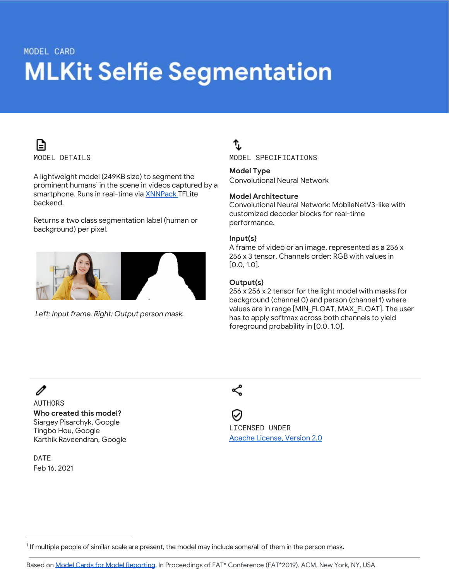# MODEL CARD **MLKit Selfie Segmentation**



A lightweight model (249KB size) to segment the prominent humans<sup>1</sup> in the scene in videos captured by a smartphone. Runs in real-time via [XNNPack](https://github.com/google/XNNPACK) TFLite backend.

Returns a two class segmentation label (human or background) per pixel.



*Left: Input frame. Right: Output person mask.*

# ኄ

MODEL SPECIFICATIONS

**Model Type** Convolutional Neural Network

#### **Model Architecture**

Convolutional Neural Network: MobileNetV3-like with customized decoder blocks for real-time performance.

#### **Input(s)**

A frame of video or an image, represented as a 256 x 256 x 3 tensor. Channels order: RGB with values in [0.0, 1.0].

#### **Output(s)**

256 x 256 x 2 tensor for the light model with masks for background (channel 0) and person (channel 1) where values are in range [MIN\_FLOAT, MAX\_FLOAT]. The user has to apply softmax across both channels to yield foreground probability in [0.0, 1.0].

## P

AUTHORS **Who created this model?** Siargey Pisarchyk, Google Tingbo Hou, Google Karthik Raveendran, Google

DATE Feb 16, 2021 ≪

LICENSED UNDER Apache [License,](https://www.apache.org/licenses/LICENSE-2.0.html) Version 2.0

<sup>&</sup>lt;sup>1</sup> If multiple people of similar scale are present, the model may include some/all of them in the person mask.

Based on Model Cards for Model [Reporting,](https://arxiv.org/pdf/1810.03993.pdf) In Proceedings of FAT\* Conference (FAT\*2019). ACM, New York, NY, USA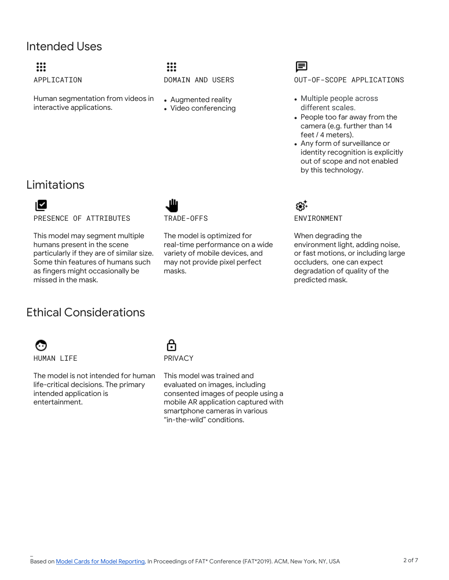## Intended Uses

### ₩ APPLICATION

Human segmentation from videos in interactive applications.

### ₩ DOMAIN AND USERS

- Augmented reality
- Video conferencing

## 目

OUT-OF-SCOPE APPLICATIONS

- Multiple people across different scales.
- People too far away from the camera (e.g. further than 14 feet / 4 meters).
- Any form of surveillance or identity recognition is explicitly out of scope and not enabled by this technology.

## Limitations

## ™

PRESENCE OF ATTRIBUTES

This model may segment multiple humans present in the scene particularly if they are of similar size. Some thin features of humans such as fingers might occasionally be missed in the mask.



The model is optimized for real-time performance on a wide variety of mobile devices, and may not provide pixel perfect masks.

### باری<br>+روغ ENVIRONMENT

When degrading the environment light, adding noise, or fast motions, or including large occluders, one can expect degradation of quality of the predicted mask.

# Ethical Considerations

ణ HUMAN LIFE

\_

The model is not intended for human life-critical decisions. The primary intended application is entertainment.

## A PRIVACY

This model was trained and evaluated on images, including consented images of people using a mobile AR application captured with smartphone cameras in various "in-the-wild" conditions.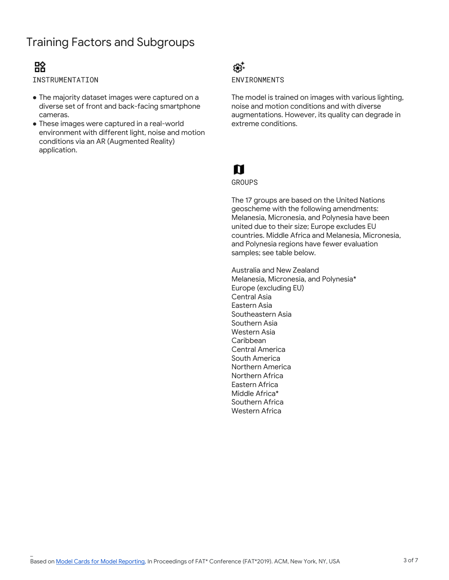# Training Factors and Subgroups

## 盛

\_

INSTRUMENTATION

- The majority dataset images were captured on a diverse set of front and back-facing smartphone cameras.
- These images were captured in a real-world environment with different light, noise and motion conditions via an AR (Augmented Reality) application.

### 63. ENVIRONMENTS

The model is trained on images with various lighting, noise and motion conditions and with diverse augmentations. However, its quality can degrade in extreme conditions.

# n

GROUPS

The 17 groups are based on the United Nations geoscheme with the following amendments: Melanesia, Micronesia, and Polynesia have been united due to their size; Europe excludes EU countries. Middle Africa and Melanesia, Micronesia, and Polynesia regions have fewer evaluation samples; see table below.

Australia and New Zealand Melanesia, Micronesia, and Polynesia\* Europe (excluding EU) Central Asia Eastern Asia Southeastern Asia Southern Asia Western Asia Caribbean Central America South America Northern America Northern Africa Eastern Africa Middle Africa\* Southern Africa Western Africa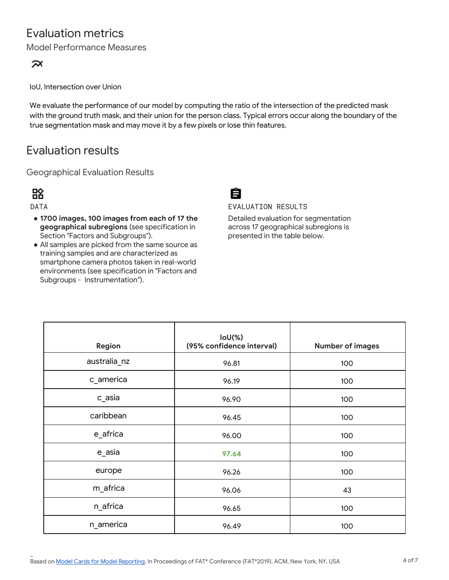# Evaluation metrics

Model Performance Measures

### ਕ਼

IoU, Intersection over Union

We evaluate the performance of our model by computing the ratio of the intersection of the predicted mask with the ground truth mask, and their union for the person class. Typical errors occur along the boundary of the true segmentation mask and may move it by a few pixels or lose thin features.

## Evaluation results

Geographical Evaluation Results

## 盛

DATA

\_

- **1700 images, 100 images from each of 17 the geographical subregions** (see specification in Section "Factors and Subgroups").
- All samples are picked from the same source as training samples and are characterized as smartphone camera photos taken in real-world environments (see specification in "Factors and Subgroups - Instrumentation").



EVALUATION RESULTS

Detailed evaluation for segmentation across 17 geographical subregions is presented in the table below.

| <b>Region</b> | $IoU(% \mathcal{L})$<br>(95% confidence interval) | <b>Number of images</b> |
|---------------|---------------------------------------------------|-------------------------|
| australia_nz  | 96.81                                             | 100                     |
| c_america     | 96.19                                             | 100                     |
| c_asia        | 96.90                                             | 100                     |
| caribbean     | 96.45                                             | 100                     |
| e_africa      | 96.00                                             | 100                     |
| e_asia        | 97.64                                             | 100                     |
| europe        | 96.26                                             | 100                     |
| m_africa      | 96.06                                             | 43                      |
| n_africa      | 96.65                                             | 100                     |
| n_america     | 96.49                                             | 100                     |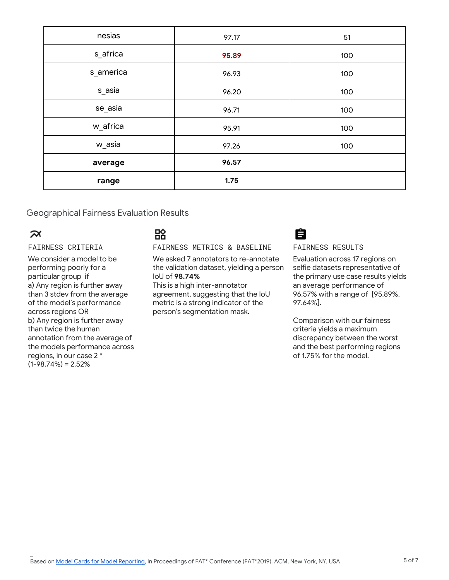| nesias    | 97.17 | 51  |
|-----------|-------|-----|
| s_africa  | 95.89 | 100 |
| s_america | 96.93 | 100 |
| s_asia    | 96.20 | 100 |
| se_asia   | 96.71 | 100 |
| w_africa  | 95.91 | 100 |
| w_asia    | 97.26 | 100 |
| average   | 96.57 |     |
| range     | 1.75  |     |

Geographical Fairness Evaluation Results

### ี่ี

\_

#### FAIRNESS CRITERIA

We consider a model to be performing poorly for a particular group if a) Any region is further away than 3 stdev from the average of the model's performance across regions OR b) Any region is further away than twice the human annotation from the average of the models performance across regions, in our case 2 \*  $(1-98.74\%) = 2.52\%$ 

## 盛

FAIRNESS METRICS & BASELINE

We asked 7 annotators to re-annotate the validation dataset, yielding a person IoU of **98.74%**

This is a high inter-annotator agreement, suggesting that the IoU metric is a strong indicator of the person's segmentation mask.



#### FAIRNESS RESULTS

Evaluation across 17 regions on selfie datasets representative of the primary use case results yields an average performance of 96.57% with a range of [95.89%, 97.64%].

Comparison with our fairness criteria yields a maximum discrepancy between the worst and the best performing regions of 1.75% for the model.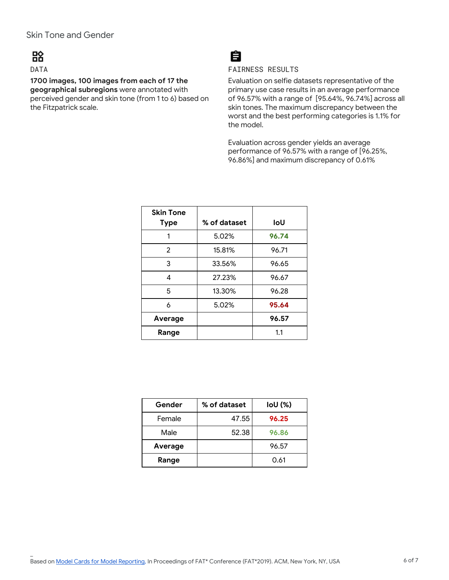# 盛

### DATA

\_

**1700 images, 100 images from each of 17 the geographical subregions** were annotated with perceived gender and skin tone (from 1 to 6) based on the Fitzpatrick scale.

# Ĥ

### FAIRNESS RESULTS

Evaluation on selfie datasets representative of the primary use case results in an average performance of 96.57% with a range of [95.64%, 96.74%] across all skin tones. The maximum discrepancy between the worst and the best performing categories is 1.1% for the model.

Evaluation across gender yields an average performance of 96.57% with a range of [96.25%, 96.86%] and maximum discrepancy of 0.61%

| <b>Skin Tone</b><br><b>Type</b> | % of dataset | loU   |
|---------------------------------|--------------|-------|
|                                 |              |       |
| 1                               | 5.02%        | 96.74 |
| $\overline{2}$                  | 15.81%       | 96.71 |
| 3                               | 33.56%       | 96.65 |
| 4                               | 27.23%       | 96.67 |
| 5                               | 13.30%       | 96.28 |
| 6                               | 5.02%        | 95.64 |
| Average                         |              | 96.57 |
| Range                           |              | 1.1   |

| Gender  | % of dataset | $IoU$ (%) |
|---------|--------------|-----------|
| Female  | 47.55        | 96.25     |
| Male    | 52.38        | 96.86     |
| Average |              | 96.57     |
| Range   |              | 0.61      |